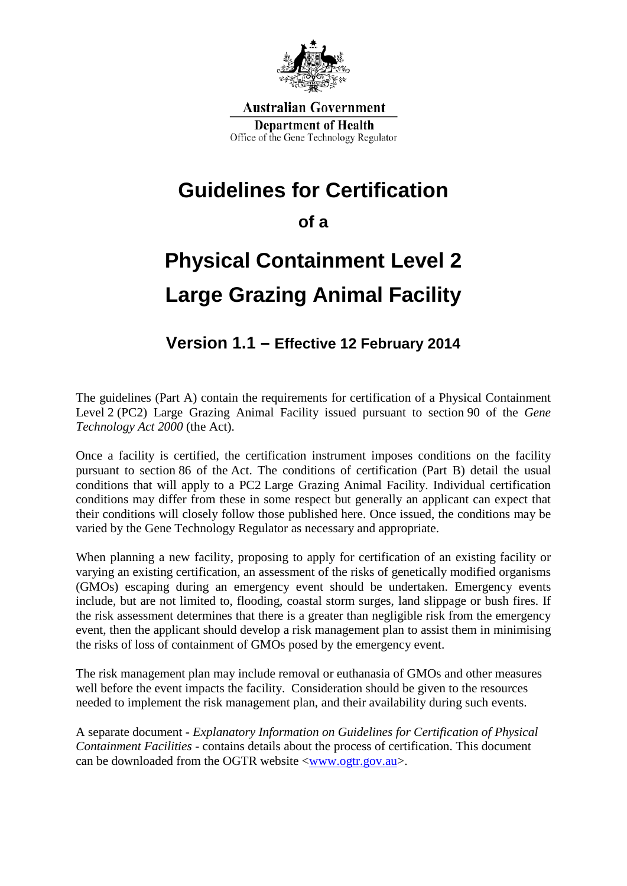

**Australian Government Department of Health** Office of the Gene Technology Regulator

### **Guidelines for Certification**

**of a**

# **Physical Containment Level 2 Large Grazing Animal Facility**

### **Version 1.1 – Effective 12 February 2014**

The guidelines (Part A) contain the requirements for certification of a Physical Containment Level 2 (PC2) Large Grazing Animal Facility issued pursuant to section 90 of the *Gene Technology Act 2000* (the Act).

Once a facility is certified, the certification instrument imposes conditions on the facility pursuant to section 86 of the Act. The conditions of certification (Part B) detail the usual conditions that will apply to a PC2 Large Grazing Animal Facility. Individual certification conditions may differ from these in some respect but generally an applicant can expect that their conditions will closely follow those published here. Once issued, the conditions may be varied by the Gene Technology Regulator as necessary and appropriate.

When planning a new facility, proposing to apply for certification of an existing facility or varying an existing certification, an assessment of the risks of genetically modified organisms (GMOs) escaping during an emergency event should be undertaken. Emergency events include, but are not limited to, flooding, coastal storm surges, land slippage or bush fires. If the risk assessment determines that there is a greater than negligible risk from the emergency event, then the applicant should develop a risk management plan to assist them in minimising the risks of loss of containment of GMOs posed by the emergency event.

The risk management plan may include removal or euthanasia of GMOs and other measures well before the event impacts the facility. Consideration should be given to the resources needed to implement the risk management plan, and their availability during such events.

A separate document - *Explanatory Information on Guidelines for Certification of Physical Containment Facilities* - contains details about the process of certification. This document can be downloaded from the OGTR website  $\langle$ www.ogtr.gov.au $\rangle$ .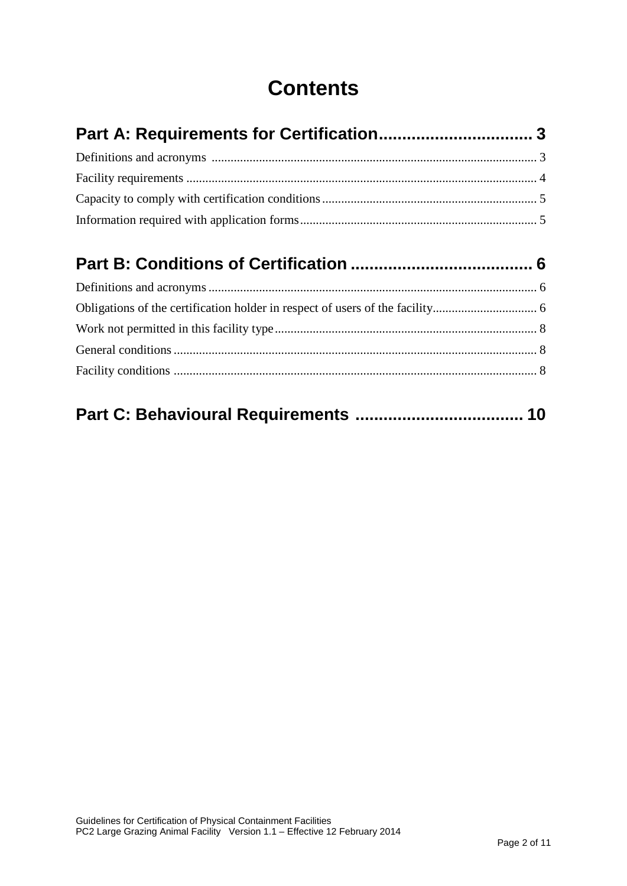## **Contents**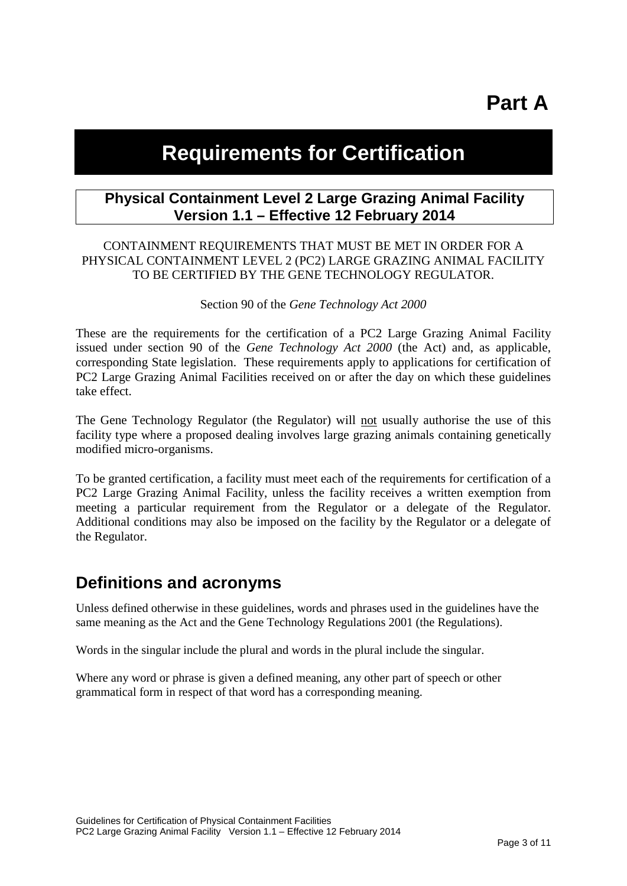# **Part A**

### **Requirements for Certification**

#### **Physical Containment Level 2 Large Grazing Animal Facility Version 1.1 – Effective 12 February 2014**

#### CONTAINMENT REQUIREMENTS THAT MUST BE MET IN ORDER FOR A PHYSICAL CONTAINMENT LEVEL 2 (PC2) LARGE GRAZING ANIMAL FACILITY TO BE CERTIFIED BY THE GENE TECHNOLOGY REGULATOR.

#### Section 90 of the *Gene Technology Act 2000*

These are the requirements for the certification of a PC2 Large Grazing Animal Facility issued under section 90 of the *Gene Technology Act 2000* (the Act) and, as applicable, corresponding State legislation. These requirements apply to applications for certification of PC2 Large Grazing Animal Facilities received on or after the day on which these guidelines take effect.

The Gene Technology Regulator (the Regulator) will not usually authorise the use of this facility type where a proposed dealing involves large grazing animals containing genetically modified micro-organisms.

To be granted certification, a facility must meet each of the requirements for certification of a PC2 Large Grazing Animal Facility, unless the facility receives a written exemption from meeting a particular requirement from the Regulator or a delegate of the Regulator. Additional conditions may also be imposed on the facility by the Regulator or a delegate of the Regulator.

#### **Definitions and acronyms**

Unless defined otherwise in these guidelines, words and phrases used in the guidelines have the same meaning as the Act and the Gene Technology Regulations 2001 (the Regulations).

Words in the singular include the plural and words in the plural include the singular.

Where any word or phrase is given a defined meaning, any other part of speech or other grammatical form in respect of that word has a corresponding meaning.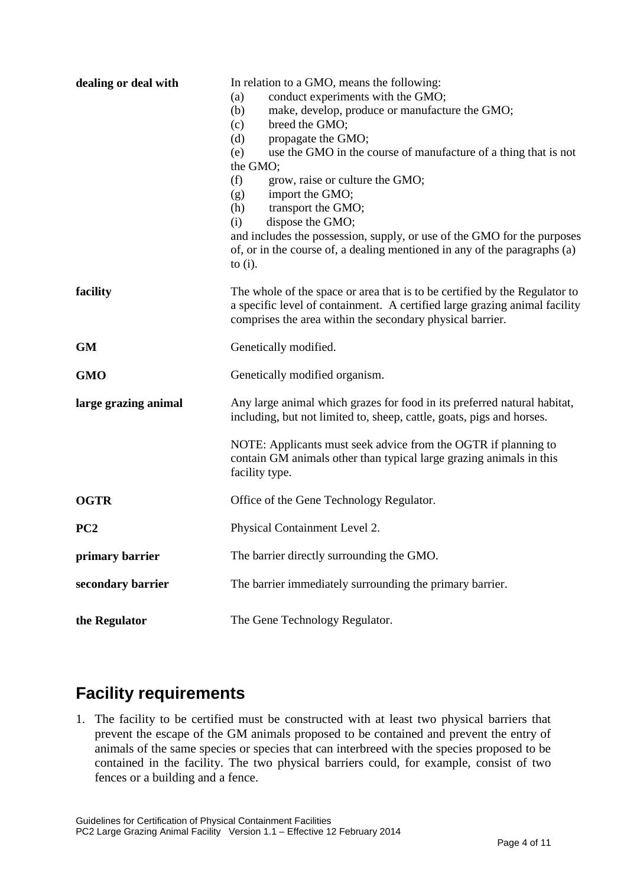| dealing or deal with | In relation to a GMO, means the following:<br>conduct experiments with the GMO;<br>(a)<br>make, develop, produce or manufacture the GMO;<br>(b)<br>(c)<br>breed the GMO;<br>(d)<br>propagate the GMO;<br>use the GMO in the course of manufacture of a thing that is not<br>(e)<br>the GMO;<br>(f)<br>grow, raise or culture the GMO;<br>import the GMO;<br>(g)<br>transport the GMO;<br>(h)<br>dispose the GMO;<br>(i)<br>and includes the possession, supply, or use of the GMO for the purposes<br>of, or in the course of, a dealing mentioned in any of the paragraphs (a)<br>to $(i)$ . |
|----------------------|-----------------------------------------------------------------------------------------------------------------------------------------------------------------------------------------------------------------------------------------------------------------------------------------------------------------------------------------------------------------------------------------------------------------------------------------------------------------------------------------------------------------------------------------------------------------------------------------------|
| facility             | The whole of the space or area that is to be certified by the Regulator to<br>a specific level of containment. A certified large grazing animal facility<br>comprises the area within the secondary physical barrier.                                                                                                                                                                                                                                                                                                                                                                         |
| <b>GM</b>            | Genetically modified.                                                                                                                                                                                                                                                                                                                                                                                                                                                                                                                                                                         |
| <b>GMO</b>           | Genetically modified organism.                                                                                                                                                                                                                                                                                                                                                                                                                                                                                                                                                                |
| large grazing animal | Any large animal which grazes for food in its preferred natural habitat,<br>including, but not limited to, sheep, cattle, goats, pigs and horses.                                                                                                                                                                                                                                                                                                                                                                                                                                             |
|                      | NOTE: Applicants must seek advice from the OGTR if planning to<br>contain GM animals other than typical large grazing animals in this<br>facility type.                                                                                                                                                                                                                                                                                                                                                                                                                                       |
| <b>OGTR</b>          | Office of the Gene Technology Regulator.                                                                                                                                                                                                                                                                                                                                                                                                                                                                                                                                                      |
| PC <sub>2</sub>      | Physical Containment Level 2.                                                                                                                                                                                                                                                                                                                                                                                                                                                                                                                                                                 |
| primary barrier      | The barrier directly surrounding the GMO.                                                                                                                                                                                                                                                                                                                                                                                                                                                                                                                                                     |
| secondary barrier    | The barrier immediately surrounding the primary barrier.                                                                                                                                                                                                                                                                                                                                                                                                                                                                                                                                      |
| the Regulator        | The Gene Technology Regulator.                                                                                                                                                                                                                                                                                                                                                                                                                                                                                                                                                                |

### **Facility requirements**

1. The facility to be certified must be constructed with at least two physical barriers that prevent the escape of the GM animals proposed to be contained and prevent the entry of animals of the same species or species that can interbreed with the species proposed to be contained in the facility. The two physical barriers could, for example, consist of two fences or a building and a fence.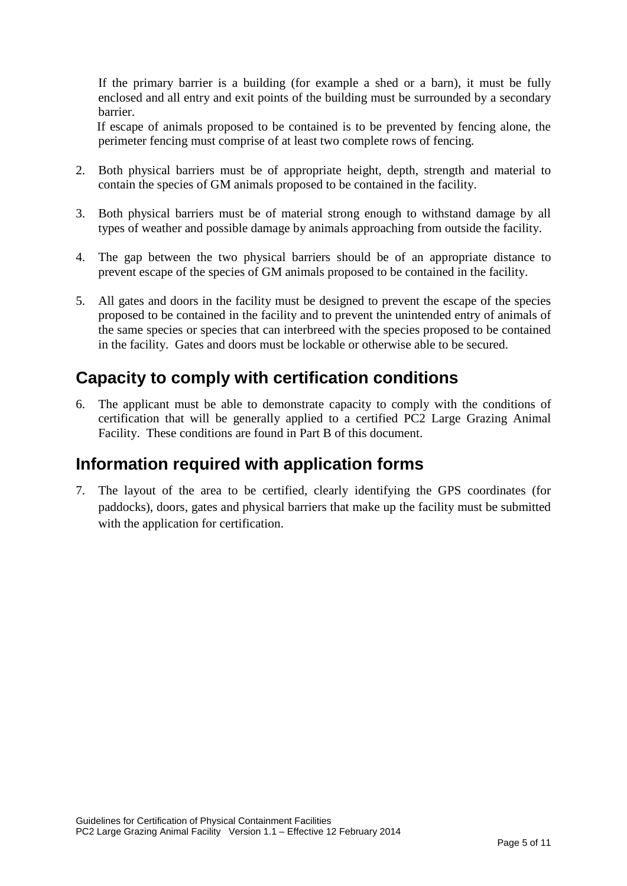If the primary barrier is a building (for example a shed or a barn), it must be fully enclosed and all entry and exit points of the building must be surrounded by a secondary barrier.

If escape of animals proposed to be contained is to be prevented by fencing alone, the perimeter fencing must comprise of at least two complete rows of fencing.

- 2. Both physical barriers must be of appropriate height, depth, strength and material to contain the species of GM animals proposed to be contained in the facility.
- 3. Both physical barriers must be of material strong enough to withstand damage by all types of weather and possible damage by animals approaching from outside the facility.
- 4. The gap between the two physical barriers should be of an appropriate distance to prevent escape of the species of GM animals proposed to be contained in the facility.
- 5. All gates and doors in the facility must be designed to prevent the escape of the species proposed to be contained in the facility and to prevent the unintended entry of animals of the same species or species that can interbreed with the species proposed to be contained in the facility. Gates and doors must be lockable or otherwise able to be secured.

### **Capacity to comply with certification conditions**

6. The applicant must be able to demonstrate capacity to comply with the conditions of certification that will be generally applied to a certified PC2 Large Grazing Animal Facility. These conditions are found in Part B of this document.

#### **Information required with application forms**

7. The layout of the area to be certified, clearly identifying the GPS coordinates (for paddocks), doors, gates and physical barriers that make up the facility must be submitted with the application for certification.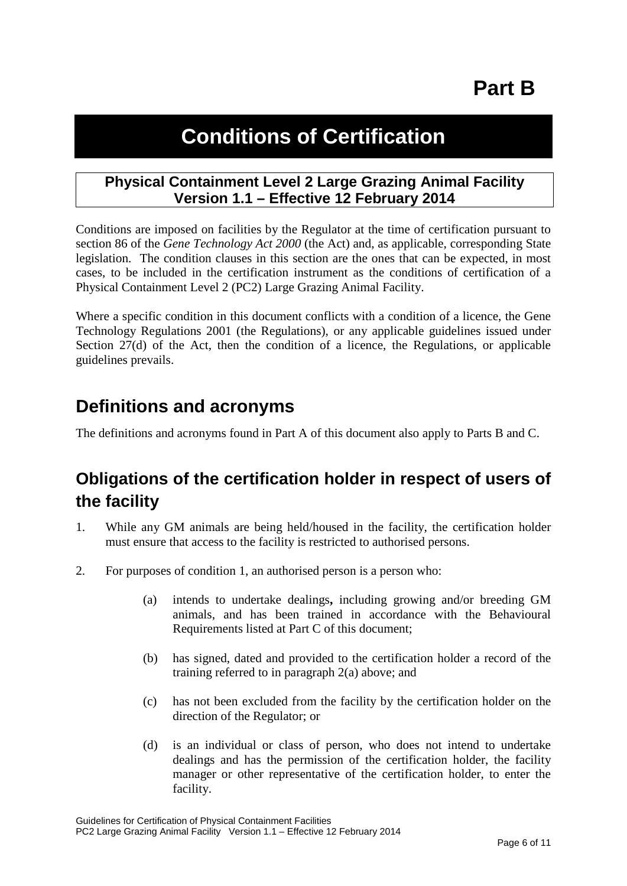# **Part B**

## **Conditions of Certification**

#### **Physical Containment Level 2 Large Grazing Animal Facility Version 1.1 – Effective 12 February 2014**

Conditions are imposed on facilities by the Regulator at the time of certification pursuant to section 86 of the *Gene Technology Act 2000* (the Act) and, as applicable, corresponding State legislation. The condition clauses in this section are the ones that can be expected, in most cases, to be included in the certification instrument as the conditions of certification of a Physical Containment Level 2 (PC2) Large Grazing Animal Facility.

Where a specific condition in this document conflicts with a condition of a licence, the Gene Technology Regulations 2001 (the Regulations), or any applicable guidelines issued under Section 27(d) of the Act, then the condition of a licence, the Regulations, or applicable guidelines prevails.

### **Definitions and acronyms**

The definitions and acronyms found in Part A of this document also apply to Parts B and C.

### **Obligations of the certification holder in respect of users of the facility**

- 1. While any GM animals are being held/housed in the facility, the certification holder must ensure that access to the facility is restricted to authorised persons.
- 2. For purposes of condition 1, an authorised person is a person who:
	- (a) intends to undertake dealings**,** including growing and/or breeding GM animals, and has been trained in accordance with the Behavioural Requirements listed at Part C of this document;
	- (b) has signed, dated and provided to the certification holder a record of the training referred to in paragraph 2(a) above; and
	- (c) has not been excluded from the facility by the certification holder on the direction of the Regulator; or
	- (d) is an individual or class of person, who does not intend to undertake dealings and has the permission of the certification holder, the facility manager or other representative of the certification holder, to enter the facility.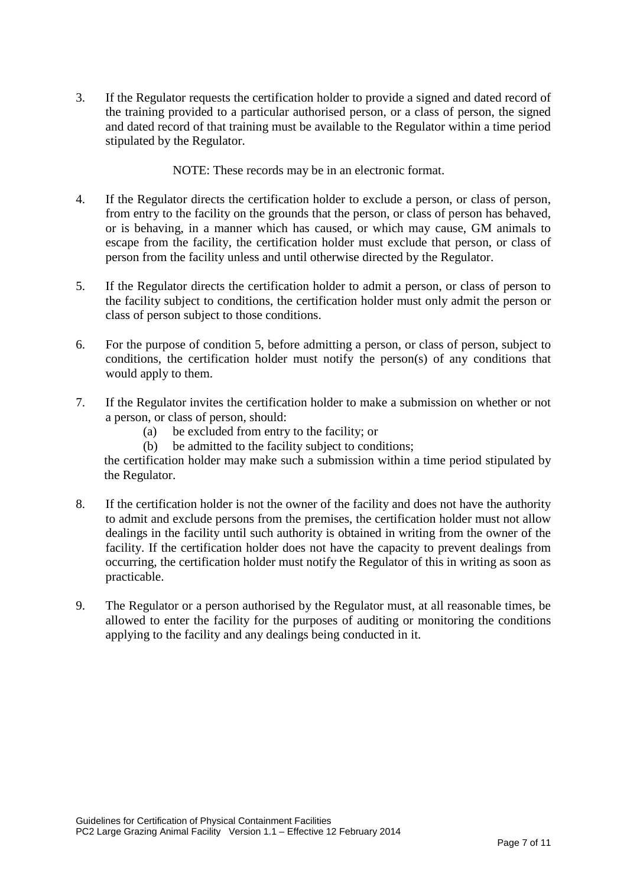3. If the Regulator requests the certification holder to provide a signed and dated record of the training provided to a particular authorised person, or a class of person, the signed and dated record of that training must be available to the Regulator within a time period stipulated by the Regulator.

NOTE: These records may be in an electronic format.

- 4. If the Regulator directs the certification holder to exclude a person, or class of person, from entry to the facility on the grounds that the person, or class of person has behaved, or is behaving, in a manner which has caused, or which may cause, GM animals to escape from the facility, the certification holder must exclude that person, or class of person from the facility unless and until otherwise directed by the Regulator.
- 5. If the Regulator directs the certification holder to admit a person, or class of person to the facility subject to conditions, the certification holder must only admit the person or class of person subject to those conditions.
- 6. For the purpose of condition 5, before admitting a person, or class of person, subject to conditions, the certification holder must notify the person(s) of any conditions that would apply to them.
- 7. If the Regulator invites the certification holder to make a submission on whether or not a person, or class of person, should:
	- (a) be excluded from entry to the facility; or
	- (b) be admitted to the facility subject to conditions;

the certification holder may make such a submission within a time period stipulated by the Regulator.

- 8. If the certification holder is not the owner of the facility and does not have the authority to admit and exclude persons from the premises, the certification holder must not allow dealings in the facility until such authority is obtained in writing from the owner of the facility. If the certification holder does not have the capacity to prevent dealings from occurring, the certification holder must notify the Regulator of this in writing as soon as practicable.
- 9. The Regulator or a person authorised by the Regulator must, at all reasonable times, be allowed to enter the facility for the purposes of auditing or monitoring the conditions applying to the facility and any dealings being conducted in it.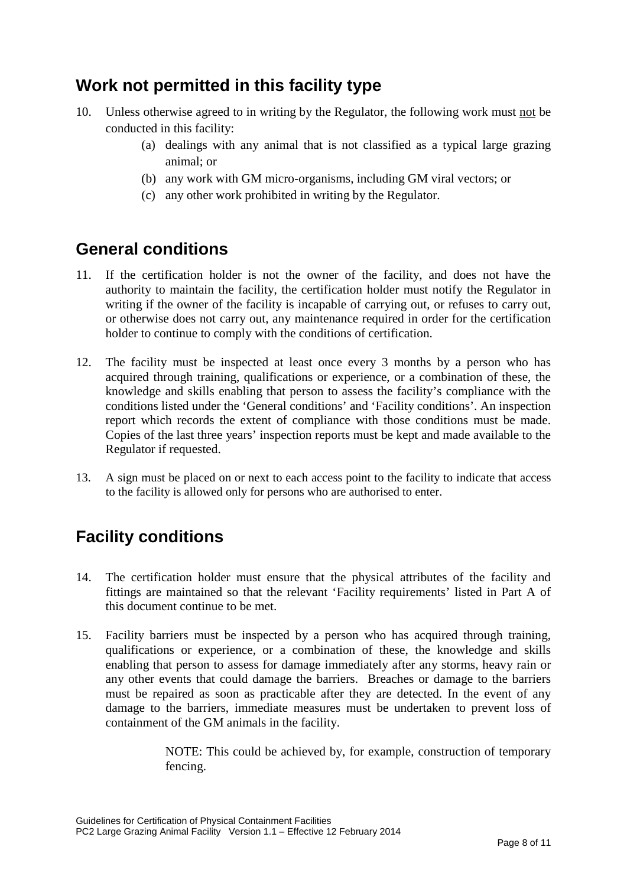### **Work not permitted in this facility type**

- 10. Unless otherwise agreed to in writing by the Regulator, the following work must not be conducted in this facility:
	- (a) dealings with any animal that is not classified as a typical large grazing animal; or
	- (b) any work with GM micro-organisms, including GM viral vectors; or
	- (c) any other work prohibited in writing by the Regulator.

#### **General conditions**

- 11. If the certification holder is not the owner of the facility, and does not have the authority to maintain the facility, the certification holder must notify the Regulator in writing if the owner of the facility is incapable of carrying out, or refuses to carry out, or otherwise does not carry out, any maintenance required in order for the certification holder to continue to comply with the conditions of certification.
- 12. The facility must be inspected at least once every 3 months by a person who has acquired through training, qualifications or experience, or a combination of these, the knowledge and skills enabling that person to assess the facility's compliance with the conditions listed under the 'General conditions' and 'Facility conditions'. An inspection report which records the extent of compliance with those conditions must be made. Copies of the last three years' inspection reports must be kept and made available to the Regulator if requested.
- 13. A sign must be placed on or next to each access point to the facility to indicate that access to the facility is allowed only for persons who are authorised to enter.

### **Facility conditions**

- 14. The certification holder must ensure that the physical attributes of the facility and fittings are maintained so that the relevant 'Facility requirements' listed in Part A of this document continue to be met.
- 15. Facility barriers must be inspected by a person who has acquired through training, qualifications or experience, or a combination of these, the knowledge and skills enabling that person to assess for damage immediately after any storms, heavy rain or any other events that could damage the barriers. Breaches or damage to the barriers must be repaired as soon as practicable after they are detected. In the event of any damage to the barriers, immediate measures must be undertaken to prevent loss of containment of the GM animals in the facility.

NOTE: This could be achieved by, for example, construction of temporary fencing.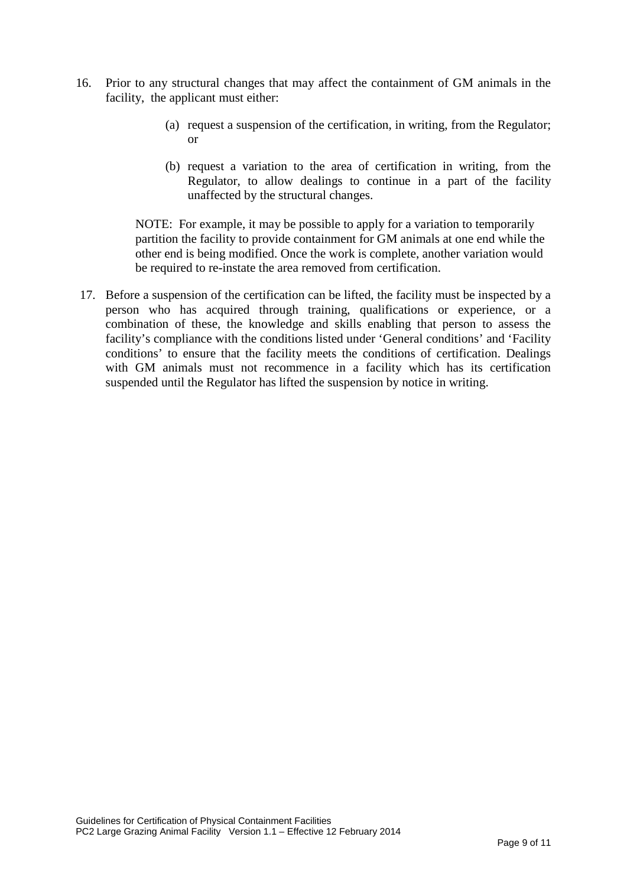- 16. Prior to any structural changes that may affect the containment of GM animals in the facility, the applicant must either:
	- (a) request a suspension of the certification, in writing, from the Regulator; or
	- (b) request a variation to the area of certification in writing, from the Regulator, to allow dealings to continue in a part of the facility unaffected by the structural changes.

NOTE: For example, it may be possible to apply for a variation to temporarily partition the facility to provide containment for GM animals at one end while the other end is being modified. Once the work is complete, another variation would be required to re-instate the area removed from certification.

17. Before a suspension of the certification can be lifted, the facility must be inspected by a person who has acquired through training, qualifications or experience, or a combination of these, the knowledge and skills enabling that person to assess the facility's compliance with the conditions listed under 'General conditions' and 'Facility conditions' to ensure that the facility meets the conditions of certification. Dealings with GM animals must not recommence in a facility which has its certification suspended until the Regulator has lifted the suspension by notice in writing.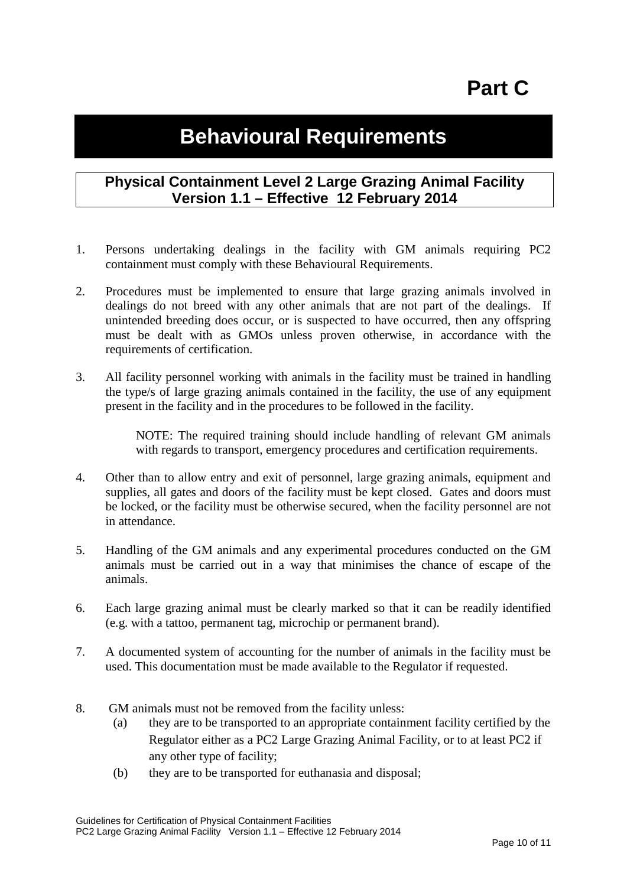# **Part C**

## **Behavioural Requirements**

#### **Physical Containment Level 2 Large Grazing Animal Facility Version 1.1 – Effective 12 February 2014**

- 1. Persons undertaking dealings in the facility with GM animals requiring PC2 containment must comply with these Behavioural Requirements.
- 2. Procedures must be implemented to ensure that large grazing animals involved in dealings do not breed with any other animals that are not part of the dealings. If unintended breeding does occur, or is suspected to have occurred, then any offspring must be dealt with as GMOs unless proven otherwise, in accordance with the requirements of certification.
- 3. All facility personnel working with animals in the facility must be trained in handling the type/s of large grazing animals contained in the facility, the use of any equipment present in the facility and in the procedures to be followed in the facility.

NOTE: The required training should include handling of relevant GM animals with regards to transport, emergency procedures and certification requirements.

- 4. Other than to allow entry and exit of personnel, large grazing animals, equipment and supplies, all gates and doors of the facility must be kept closed. Gates and doors must be locked, or the facility must be otherwise secured, when the facility personnel are not in attendance.
- 5. Handling of the GM animals and any experimental procedures conducted on the GM animals must be carried out in a way that minimises the chance of escape of the animals.
- 6. Each large grazing animal must be clearly marked so that it can be readily identified (e.g. with a tattoo, permanent tag, microchip or permanent brand).
- 7. A documented system of accounting for the number of animals in the facility must be used. This documentation must be made available to the Regulator if requested.
- 8. GM animals must not be removed from the facility unless:
	- (a) they are to be transported to an appropriate containment facility certified by the Regulator either as a PC2 Large Grazing Animal Facility, or to at least PC2 if any other type of facility;
	- (b) they are to be transported for euthanasia and disposal;